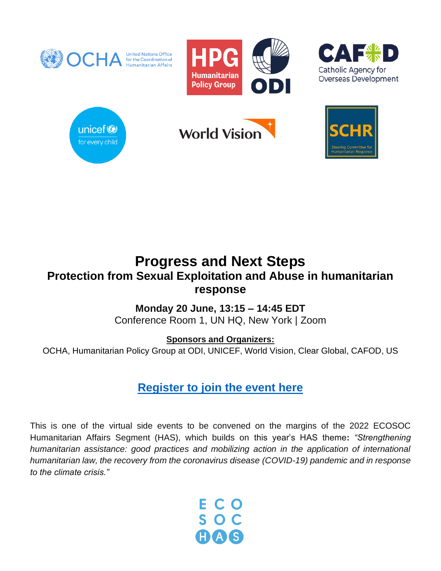

# **Progress and Next Steps Protection from Sexual Exploitation and Abuse in humanitarian response**

## **Monday 20 June, 13:15 – 14:45 EDT**

Conference Room 1, UN HQ, New York | Zoom

**Sponsors and Organizers:**

OCHA, Humanitarian Policy Group at ODI, UNICEF, World Vision, Clear Global, CAFOD, US

## **[Register to join the event here](https://pseah-ecosochas.rsvpify.com/)**

This is one of the virtual side events to be convened on the margins of the 2022 ECOSOC Humanitarian Affairs Segment (HAS), which builds on this year's HAS theme**:** *"Strengthening humanitarian assistance: good practices and mobilizing action in the application of international humanitarian law, the recovery from the coronavirus disease (COVID-19) pandemic and in response to the climate crisis."*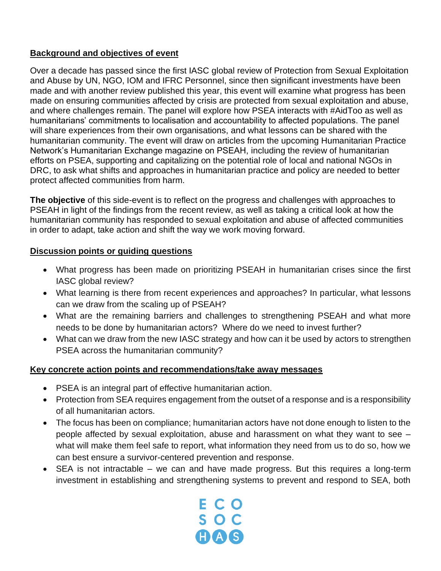### **Background and objectives of event**

Over a decade has passed since the first IASC global review of Protection from Sexual Exploitation and Abuse by UN, NGO, IOM and IFRC Personnel, since then significant investments have been made and with another review published this year, this event will examine what progress has been made on ensuring communities affected by crisis are protected from sexual exploitation and abuse, and where challenges remain. The panel will explore how PSEA interacts with #AidToo as well as humanitarians' commitments to localisation and accountability to affected populations. The panel will share experiences from their own organisations, and what lessons can be shared with the humanitarian community. The event will draw on articles from the upcoming Humanitarian Practice Network's Humanitarian Exchange magazine on PSEAH, including the review of humanitarian efforts on PSEA, supporting and capitalizing on the potential role of local and national NGOs in DRC, to ask what shifts and approaches in humanitarian practice and policy are needed to better protect affected communities from harm.

**The objective** of this side-event is to reflect on the progress and challenges with approaches to PSEAH in light of the findings from the recent review, as well as taking a critical look at how the humanitarian community has responded to sexual exploitation and abuse of affected communities in order to adapt, take action and shift the way we work moving forward.

#### **Discussion points or guiding questions**

- What progress has been made on prioritizing PSEAH in humanitarian crises since the first IASC global review?
- What learning is there from recent experiences and approaches? In particular, what lessons can we draw from the scaling up of PSEAH?
- What are the remaining barriers and challenges to strengthening PSEAH and what more needs to be done by humanitarian actors? Where do we need to invest further?
- What can we draw from the new IASC strategy and how can it be used by actors to strengthen PSEA across the humanitarian community?

### **Key concrete action points and recommendations/take away messages**

- PSEA is an integral part of effective humanitarian action.
- Protection from SEA requires engagement from the outset of a response and is a responsibility of all humanitarian actors.
- The focus has been on compliance; humanitarian actors have not done enough to listen to the people affected by sexual exploitation, abuse and harassment on what they want to see – what will make them feel safe to report, what information they need from us to do so, how we can best ensure a survivor-centered prevention and response.
- SEA is not intractable we can and have made progress. But this requires a long-term investment in establishing and strengthening systems to prevent and respond to SEA, both

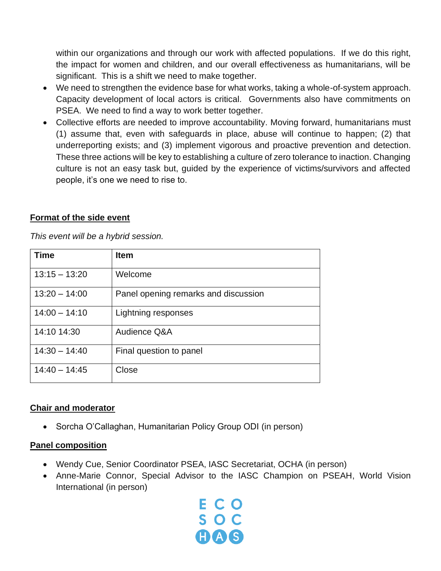within our organizations and through our work with affected populations. If we do this right, the impact for women and children, and our overall effectiveness as humanitarians, will be significant. This is a shift we need to make together.

- We need to strengthen the evidence base for what works, taking a whole-of-system approach. Capacity development of local actors is critical. Governments also have commitments on PSEA. We need to find a way to work better together.
- Collective efforts are needed to improve accountability. Moving forward, humanitarians must (1) assume that, even with safeguards in place, abuse will continue to happen; (2) that underreporting exists; and (3) implement vigorous and proactive prevention and detection. These three actions will be key to establishing a culture of zero tolerance to inaction. Changing culture is not an easy task but, guided by the experience of victims/survivors and affected people, it's one we need to rise to.

#### **Format of the side event**

*This event will be a hybrid session.*

| Time            | <b>Item</b>                          |
|-----------------|--------------------------------------|
| $13:15 - 13:20$ | Welcome                              |
| $13:20 - 14:00$ | Panel opening remarks and discussion |
| $14:00 - 14:10$ | Lightning responses                  |
| 14:10 14:30     | Audience Q&A                         |
| $14:30 - 14:40$ | Final question to panel              |
| $14:40 - 14:45$ | Close                                |

#### **Chair and moderator**

• Sorcha O'Callaghan, Humanitarian Policy Group ODI (in person)

#### **Panel composition**

- Wendy Cue, Senior Coordinator PSEA, IASC Secretariat, OCHA (in person)
- Anne-Marie Connor, Special Advisor to the IASC Champion on PSEAH, World Vision International (in person)

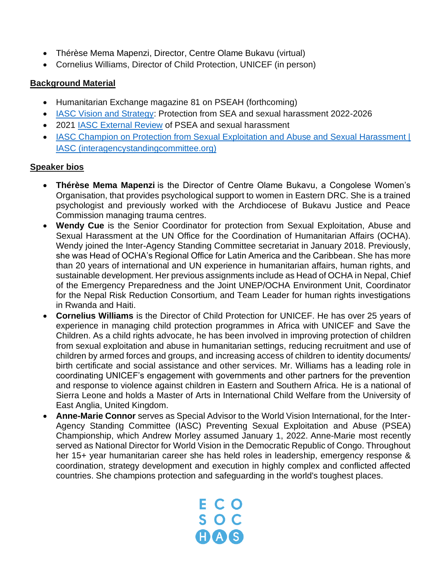- Thérèse Mema Mapenzi, Director, Centre Olame Bukavu (virtual)
- Cornelius Williams, Director of Child Protection, UNICEF (in person)

#### **Background Material**

- Humanitarian Exchange magazine 81 on PSEAH (forthcoming)
- [IASC Vision and Strategy:](https://psea.interagencystandingcommittee.org/resources/iasc-vision-and-strategy-protection-sexual-exploitation-and-abuse-and-sexual-harassment) Protection from SEA and sexual harassment 2022-2026
- 2021 [IASC External Review](https://interagencystandingcommittee.org/iasc-champion-protection-sexual-exploitation-and-abuse-and-sexual-harassment/2021-iasc-external-review-pseash) of PSEA and sexual harassment
- IASC Champion on Protection from Sexual Exploitation and Abuse and Sexual Harassment | [IASC \(interagencystandingcommittee.org\)](https://interagencystandingcommittee.org/iasc-champion-on-protection-from-sexual-exploitation-and-abuse-and-sexual-harassment)

#### **Speaker bios**

- **Thérèse Mema Mapenzi** is the Director of Centre Olame Bukavu, a Congolese Women's Organisation, that provides psychological support to women in Eastern DRC. She is a trained psychologist and previously worked with the Archdiocese of Bukavu Justice and Peace Commission managing trauma centres.
- **Wendy Cue** is the Senior Coordinator for protection from Sexual Exploitation, Abuse and Sexual Harassment at the UN Office for the Coordination of Humanitarian Affairs (OCHA). Wendy joined the Inter-Agency Standing Committee secretariat in January 2018. Previously, she was Head of OCHA's Regional Office for Latin America and the Caribbean. She has more than 20 years of international and UN experience in humanitarian affairs, human rights, and sustainable development. Her previous assignments include as Head of OCHA in Nepal, Chief of the Emergency Preparedness and the Joint UNEP/OCHA Environment Unit, Coordinator for the Nepal Risk Reduction Consortium, and Team Leader for human rights investigations in Rwanda and Haiti.
- **Cornelius Williams** is the Director of Child Protection for UNICEF. He has over 25 years of experience in managing child protection programmes in Africa with UNICEF and Save the Children. As a child rights advocate, he has been involved in improving protection of children from sexual exploitation and abuse in humanitarian settings, reducing recruitment and use of children by armed forces and groups, and increasing access of children to identity documents/ birth certificate and social assistance and other services. Mr. Williams has a leading role in coordinating UNICEF's engagement with governments and other partners for the prevention and response to violence against children in Eastern and Southern Africa. He is a national of Sierra Leone and holds a Master of Arts in International Child Welfare from the University of East Anglia, United Kingdom.
- **Anne-Marie Connor** serves as Special Advisor to the World Vision International, for the Inter-Agency Standing Committee (IASC) Preventing Sexual Exploitation and Abuse (PSEA) Championship, which Andrew Morley assumed January 1, 2022. Anne-Marie most recently served as National Director for World Vision in the Democratic Republic of Congo. Throughout her 15+ year humanitarian career she has held roles in leadership, emergency response & coordination, strategy development and execution in highly complex and conflicted affected countries. She champions protection and safeguarding in the world's toughest places.

E C O SOC